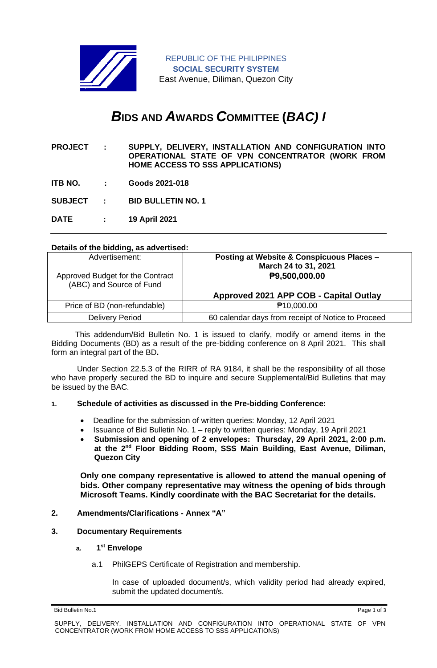

REPUBLIC OF THE PHILIPPINES **SOCIAL SECURITY SYSTEM** East Avenue, Diliman, Quezon City

# *B***IDS AND** *A***WARDS** *C***OMMITTEE (***BAC) I*

- **PROJECT : SUPPLY, DELIVERY, INSTALLATION AND CONFIGURATION INTO OPERATIONAL STATE OF VPN CONCENTRATOR (WORK FROM HOME ACCESS TO SSS APPLICATIONS)**
- **ITB NO. : Goods 2021-018**

**SUBJECT : BID BULLETIN NO. 1**

**DATE : 19 April 2021**

## **Details of the bidding, as advertised:**

| Advertisement:                                               | Posting at Website & Conspicuous Places -          |
|--------------------------------------------------------------|----------------------------------------------------|
|                                                              | March 24 to 31, 2021                               |
| Approved Budget for the Contract<br>(ABC) and Source of Fund | P9,500,000.00                                      |
|                                                              | Approved 2021 APP COB - Capital Outlay             |
| Price of BD (non-refundable)                                 | <b>₱10,000.00</b>                                  |
| <b>Delivery Period</b>                                       | 60 calendar days from receipt of Notice to Proceed |
|                                                              |                                                    |

 This addendum/Bid Bulletin No. 1 is issued to clarify, modify or amend items in the Bidding Documents (BD) as a result of the pre-bidding conference on 8 April 2021. This shall form an integral part of the BD**.**

Under Section 22.5.3 of the RIRR of RA 9184, it shall be the responsibility of all those who have properly secured the BD to inquire and secure Supplemental/Bid Bulletins that may be issued by the BAC.

#### **1. Schedule of activities as discussed in the Pre-bidding Conference:**

- Deadline for the submission of written queries: Monday, 12 April 2021
- Issuance of Bid Bulletin No. 1 reply to written queries: Monday, 19 April 2021
- **Submission and opening of 2 envelopes: Thursday, 29 April 2021, 2:00 p.m. at the 2 nd Floor Bidding Room, SSS Main Building, East Avenue, Diliman, Quezon City**

**Only one company representative is allowed to attend the manual opening of bids. Other company representative may witness the opening of bids through Microsoft Teams. Kindly coordinate with the BAC Secretariat for the details.**

#### **2. Amendments/Clarifications - Annex "A"**

#### **3. Documentary Requirements**

- **a. 1 st Envelope**
	- a.1 PhilGEPS Certificate of Registration and membership.

In case of uploaded document/s, which validity period had already expired, submit the updated document/s.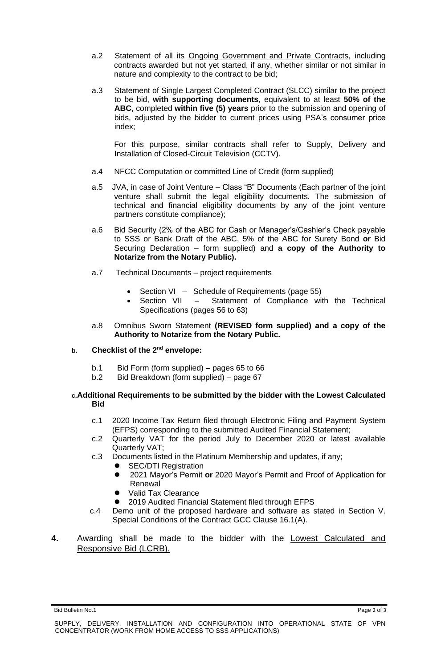- a.2 Statement of all its Ongoing Government and Private Contracts, including contracts awarded but not yet started, if any, whether similar or not similar in nature and complexity to the contract to be bid;
- a.3 Statement of Single Largest Completed Contract (SLCC) similar to the project to be bid, **with supporting documents**, equivalent to at least **50% of the ABC**, completed **within five (5) years** prior to the submission and opening of bids, adjusted by the bidder to current prices using PSA's consumer price index;

For this purpose, similar contracts shall refer to Supply, Delivery and Installation of Closed-Circuit Television (CCTV).

- a.4 NFCC Computation or committed Line of Credit (form supplied)
- a.5 JVA, in case of Joint Venture Class "B" Documents (Each partner of the joint venture shall submit the legal eligibility documents. The submission of technical and financial eligibility documents by any of the joint venture partners constitute compliance);
- a.6 Bid Security (2% of the ABC for Cash or Manager's/Cashier's Check payable to SSS or Bank Draft of the ABC, 5% of the ABC for Surety Bond **or** Bid Securing Declaration – form supplied) and **a copy of the Authority to Notarize from the Notary Public).**
- a.7 Technical Documents project requirements
	- Section VI Schedule of Requirements (page 55)
	- Section VII Statement of Compliance with the Technical Specifications (pages 56 to 63)
- a.8 Omnibus Sworn Statement **(REVISED form supplied) and a copy of the Authority to Notarize from the Notary Public.**

### **b. Checklist of the 2nd envelope:**

- b.1 Bid Form (form supplied) pages 65 to 66
- b.2 Bid Breakdown (form supplied) page 67

#### **c.Additional Requirements to be submitted by the bidder with the Lowest Calculated Bid**

- c.1 2020 Income Tax Return filed through Electronic Filing and Payment System (EFPS) corresponding to the submitted Audited Financial Statement;
- c.2 Quarterly VAT for the period July to December 2020 or latest available Quarterly VAT;
- c.3 Documents listed in the Platinum Membership and updates, if any;
	- ⚫ SEC/DTI Registration
	- ⚫ 2021 Mayor's Permit **or** 2020 Mayor's Permit and Proof of Application for Renewal
	- ⚫ Valid Tax Clearance
	- 2019 Audited Financial Statement filed through EFPS
- c.4 Demo unit of the proposed hardware and software as stated in Section V. Special Conditions of the Contract GCC Clause 16.1(A).
- **4.** Awarding shall be made to the bidder with the Lowest Calculated and Responsive Bid (LCRB).

Bid Bulletin No.1 Page 2 of 3